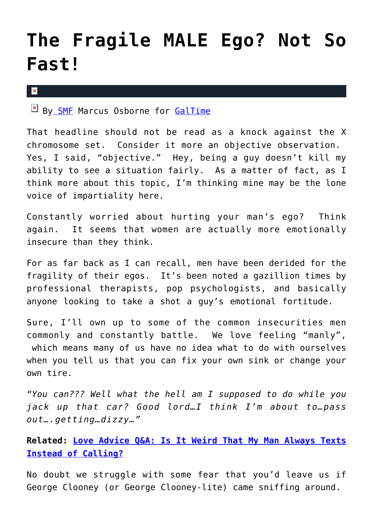## **[The Fragile MALE Ego? Not So](https://cupidspulse.com/27811/the-fragile-male-ego-not-so-fast/) [Fast!](https://cupidspulse.com/27811/the-fragile-male-ego-not-so-fast/)**

 $\mathbf x$ 

B[y SMF](http://www.straightmalefriend.com) Marcus Osborne for [GalTime](http://www.galtime.com)

That headline should not be read as a knock against the X chromosome set. Consider it more an objective observation. Yes, I said, "objective." Hey, being a guy doesn't kill my ability to see a situation fairly. As a matter of fact, as I think more about this topic, I'm thinking mine may be the lone voice of impartiality here.

Constantly worried about hurting your man's ego? Think again. It seems that women are actually more emotionally insecure than they think.

For as far back as I can recall, men have been derided for the fragility of their egos. It's been noted a gazillion times by professional therapists, pop psychologists, and basically anyone looking to take a shot a guy's emotional fortitude.

Sure, I'll own up to some of the common insecurities men commonly and constantly battle. We love feeling "manly", which means many of us have no idea what to do with ourselves when you tell us that you can fix your own sink or change your own tire.

*"You can??? Well what the hell am I supposed to do while you jack up that car? Good lord…I think I'm about to…pass out….getting…dizzy…"*

**Related: [Love Advice Q&A: Is It Weird That My Man Always Texts](http://cupidspulse.com/88642/love-advice-texting-instead-of-calling-dating-experts/) [Instead of Calling?](http://cupidspulse.com/88642/love-advice-texting-instead-of-calling-dating-experts/)**

No doubt we struggle with some fear that you'd leave us if George Clooney (or George Clooney-lite) came sniffing around.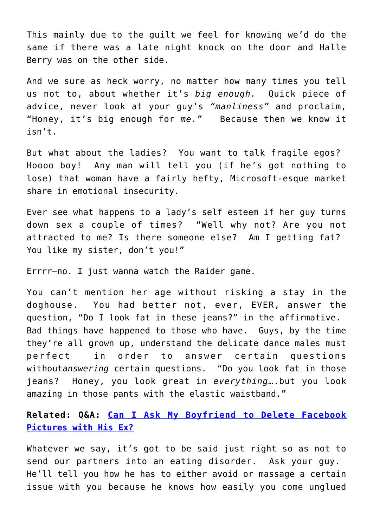This mainly due to the guilt we feel for knowing we'd do the same if there was a late night knock on the door and Halle Berry was on the other side.

And we sure as heck worry, no matter how many times you tell us not to, about whether it's *big enough.* Quick piece of advice, never look at your guy's *"manliness"* and proclaim, "Honey, it's big enough for *me."* Because then we know it isn't.

But what about the ladies? You want to talk fragile egos? Hoooo boy! Any man will tell you (if he's got nothing to lose) that woman have a fairly hefty, Microsoft-esque market share in emotional insecurity.

Ever see what happens to a lady's self esteem if her guy turns down sex a couple of times? "Well why not? Are you not attracted to me? Is there someone else? Am I getting fat? You like my sister, don't you!"

Errrr–no. I just wanna watch the Raider game.

You can't mention her age without risking a stay in the doghouse. You had better not, ever, EVER, answer the question, "Do I look fat in these jeans?" in the affirmative. Bad things have happened to those who have. Guys, by the time they're all grown up, understand the delicate dance males must perfect in order to answer certain questions without*answering* certain questions. "Do you look fat in those jeans? Honey, you look great in *everything*….but you look amazing in those pants with the elastic waistband."

**Related: Q&A: [Can I Ask My Boyfriend to Delete Facebook](http://cupidspulse.com/55409/qa-delete-pictures-of-ex-on-facebook/) [Pictures with His Ex?](http://cupidspulse.com/55409/qa-delete-pictures-of-ex-on-facebook/)**

Whatever we say, it's got to be said just right so as not to send our partners into an eating disorder. Ask your guy. He'll tell you how he has to either avoid or massage a certain issue with you because he knows how easily you come unglued